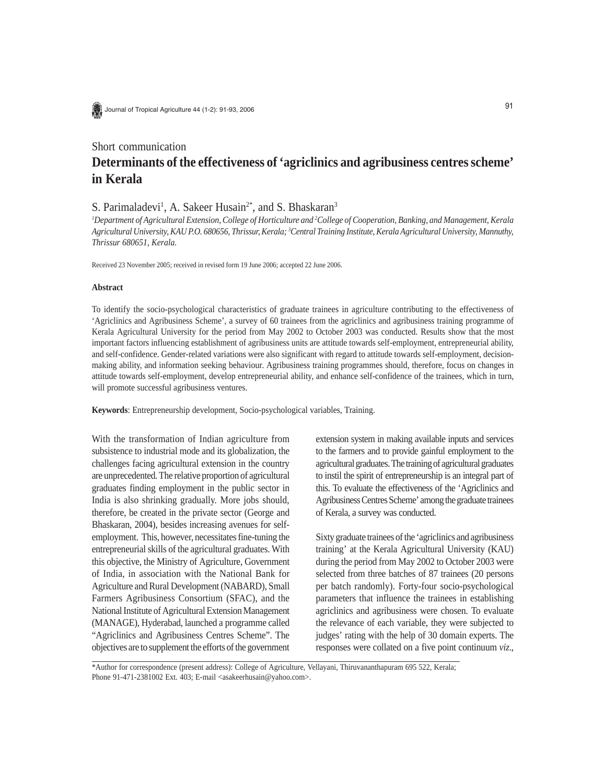Journal of Tropical Agriculture 44 (1-2): 91-93, 2006

## Short communication

# **Determinants of the effectiveness of 'agriclinics and agribusiness centres scheme' in Kerala**

## S. Parimaladevi<sup>1</sup>, A. Sakeer Husain<sup>2\*</sup>, and S. Bhaskaran<sup>3</sup>

*1 Department of Agricultural Extension, College of Horticulture and 2 College of Cooperation, Banking, and Management, Kerala Agricultural University, KAU P.O. 680656, Thrissur, Kerala; 3 Central Training Institute, Kerala Agricultural University, Mannuthy, Thrissur 680651, Kerala.*

Received 23 November 2005; received in revised form 19 June 2006; accepted 22 June 2006.

### **Abstract**

To identify the socio-psychological characteristics of graduate trainees in agriculture contributing to the effectiveness of 'Agriclinics and Agribusiness Scheme', a survey of 60 trainees from the agriclinics and agribusiness training programme of Kerala Agricultural University for the period from May 2002 to October 2003 was conducted. Results show that the most important factors influencing establishment of agribusiness units are attitude towards self-employment, entrepreneurial ability, and self-confidence. Gender-related variations were also significant with regard to attitude towards self-employment, decisionmaking ability, and information seeking behaviour. Agribusiness training programmes should, therefore, focus on changes in attitude towards self-employment, develop entrepreneurial ability, and enhance self-confidence of the trainees, which in turn, will promote successful agribusiness ventures.

**Keywords**: Entrepreneurship development, Socio-psychological variables, Training.

With the transformation of Indian agriculture from subsistence to industrial mode and its globalization, the challenges facing agricultural extension in the country are unprecedented. The relative proportion of agricultural graduates finding employment in the public sector in India is also shrinking gradually. More jobs should, therefore, be created in the private sector (George and Bhaskaran, 2004), besides increasing avenues for selfemployment. This, however, necessitates fine-tuning the entrepreneurial skills of the agricultural graduates. With this objective, the Ministry of Agriculture, Government of India, in association with the National Bank for Agriculture and Rural Development (NABARD), Small Farmers Agribusiness Consortium (SFAC), and the National Institute of Agricultural Extension Management (MANAGE), Hyderabad, launched a programme called "Agriclinics and Agribusiness Centres Scheme". The objectives are to supplement the efforts of the government extension system in making available inputs and services to the farmers and to provide gainful employment to the agricultural graduates. The training of agricultural graduates to instil the spirit of entrepreneurship is an integral part of this. To evaluate the effectiveness of the 'Agriclinics and Agribusiness Centres Scheme' among the graduate trainees of Kerala, a survey was conducted.

Sixty graduate trainees of the 'agriclinics and agribusiness training' at the Kerala Agricultural University (KAU) during the period from May 2002 to October 2003 were selected from three batches of 87 trainees (20 persons per batch randomly). Forty-four socio-psychological parameters that influence the trainees in establishing agriclinics and agribusiness were chosen. To evaluate the relevance of each variable, they were subjected to judges' rating with the help of 30 domain experts. The responses were collated on a five point continuum *viz*.,

\*Author for correspondence (present address): College of Agriculture, Vellayani, Thiruvananthapuram 695 522, Kerala; Phone 91-471-2381002 Ext. 403; E-mail <asakeerhusain@yahoo.com>.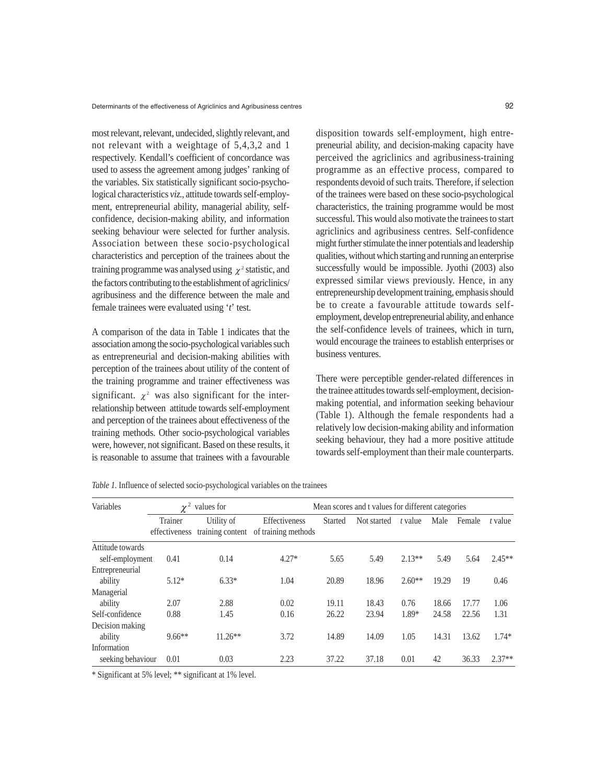most relevant, relevant, undecided, slightly relevant, and not relevant with a weightage of 5,4,3,2 and 1 respectively. Kendall's coefficient of concordance was used to assess the agreement among judges' ranking of the variables. Six statistically significant socio-psychological characteristics *viz*., attitude towards self-employment, entrepreneurial ability, managerial ability, selfconfidence, decision-making ability, and information seeking behaviour were selected for further analysis. Association between these socio-psychological characteristics and perception of the trainees about the training programme was analysed using  $\chi^2$  statistic, and the factors contributing to the establishment of agriclinics/ agribusiness and the difference between the male and female trainees were evaluated using '*t*' test.

A comparison of the data in Table 1 indicates that the association among the socio-psychological variables such as entrepreneurial and decision-making abilities with perception of the trainees about utility of the content of the training programme and trainer effectiveness was significant.  $\chi^2$  was also significant for the interrelationship between attitude towards self-employment and perception of the trainees about effectiveness of the training methods. Other socio-psychological variables were, however, not significant. Based on these results, it is reasonable to assume that trainees with a favourable

disposition towards self-employment, high entrepreneurial ability, and decision-making capacity have perceived the agriclinics and agribusiness-training programme as an effective process, compared to respondents devoid of such traits. Therefore, if selection of the trainees were based on these socio-psychological characteristics, the training programme would be most successful. This would also motivate the trainees to start agriclinics and agribusiness centres. Self-confidence might further stimulate the inner potentials and leadership qualities, without which starting and running an enterprise successfully would be impossible. Jyothi (2003) also expressed similar views previously. Hence, in any entrepreneurship development training, emphasis should be to create a favourable attitude towards selfemployment, develop entrepreneurial ability, and enhance the self-confidence levels of trainees, which in turn, would encourage the trainees to establish enterprises or business ventures.

There were perceptible gender-related differences in the trainee attitudes towards self-employment, decisionmaking potential, and information seeking behaviour (Table 1). Although the female respondents had a relatively low decision-making ability and information seeking behaviour, they had a more positive attitude towards self-employment than their male counterparts.

| Variables         | values for<br>$\gamma$   |                                | Mean scores and t values for different categories |                |             |          |       |        |          |
|-------------------|--------------------------|--------------------------------|---------------------------------------------------|----------------|-------------|----------|-------|--------|----------|
|                   | Trainer<br>effectiveness | Utility of<br>training content | Effectiveness<br>of training methods              | <b>Started</b> | Not started | t value  | Male  | Female | t value  |
| Attitude towards  |                          |                                |                                                   |                |             |          |       |        |          |
| self-employment   | 0.41                     | 0.14                           | $4.27*$                                           | 5.65           | 5.49        | $2.13**$ | 5.49  | 5.64   | $2.45**$ |
| Entrepreneurial   |                          |                                |                                                   |                |             |          |       |        |          |
| ability           | $5.12*$                  | $6.33*$                        | 1.04                                              | 20.89          | 18.96       | $2.60**$ | 19.29 | 19     | 0.46     |
| Managerial        |                          |                                |                                                   |                |             |          |       |        |          |
| ability           | 2.07                     | 2.88                           | 0.02                                              | 19.11          | 18.43       | 0.76     | 18.66 | 17.77  | 1.06     |
| Self-confidence   | 0.88                     | 1.45                           | 0.16                                              | 26.22          | 23.94       | 1.89*    | 24.58 | 22.56  | 1.31     |
| Decision making   |                          |                                |                                                   |                |             |          |       |        |          |
| ability           | $9.66**$                 | $11.26**$                      | 3.72                                              | 14.89          | 14.09       | 1.05     | 14.31 | 13.62  | $1.74*$  |
| Information       |                          |                                |                                                   |                |             |          |       |        |          |
| seeking behaviour | 0.01                     | 0.03                           | 2.23                                              | 37.22          | 37.18       | 0.01     | 42    | 36.33  | $2.37**$ |

*Table 1.* Influence of selected socio-psychological variables on the trainees

\* Significant at 5% level; \*\* significant at 1% level.